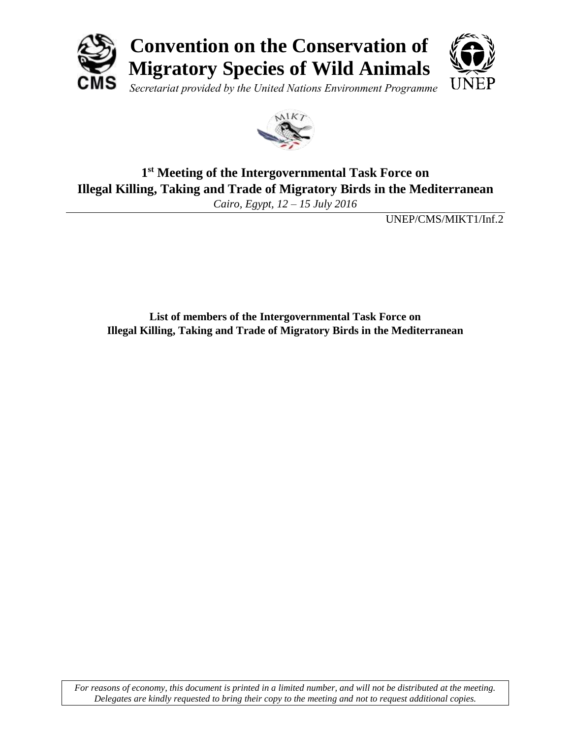



## **1 st Meeting of the Intergovernmental Task Force on Illegal Killing, Taking and Trade of Migratory Birds in the Mediterranean**

*Cairo, Egypt, 12 – 15 July 2016*

UNEP/CMS/MIKT1/Inf.2

**List of members of the Intergovernmental Task Force on Illegal Killing, Taking and Trade of Migratory Birds in the Mediterranean**

*For reasons of economy, this document is printed in a limited number, and will not be distributed at the meeting. Delegates are kindly requested to bring their copy to the meeting and not to request additional copies.*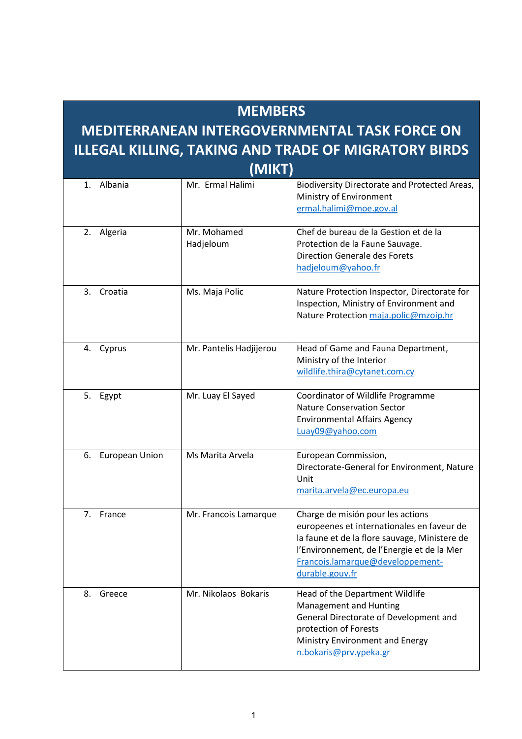|                                                                       | <b>MEMBERS</b> |                          |                                                                                                                                                                                                                                       |  |  |  |
|-----------------------------------------------------------------------|----------------|--------------------------|---------------------------------------------------------------------------------------------------------------------------------------------------------------------------------------------------------------------------------------|--|--|--|
| <b>MEDITERRANEAN INTERGOVERNMENTAL TASK FORCE ON</b>                  |                |                          |                                                                                                                                                                                                                                       |  |  |  |
| <b>ILLEGAL KILLING, TAKING AND TRADE OF MIGRATORY BIRDS</b><br>(MIKT) |                |                          |                                                                                                                                                                                                                                       |  |  |  |
| $\mathbf{1}$ .                                                        | Albania        | Mr. Ermal Halimi         | Biodiversity Directorate and Protected Areas,<br>Ministry of Environment<br>ermal.halimi@moe.gov.al                                                                                                                                   |  |  |  |
| 2.                                                                    | Algeria        | Mr. Mohamed<br>Hadjeloum | Chef de bureau de la Gestion et de la<br>Protection de la Faune Sauvage.<br><b>Direction Generale des Forets</b><br>hadjeloum@yahoo.fr                                                                                                |  |  |  |
| 3.                                                                    | Croatia        | Ms. Maja Polic           | Nature Protection Inspector, Directorate for<br>Inspection, Ministry of Environment and<br>Nature Protection maja.polic@mzoip.hr                                                                                                      |  |  |  |
| 4.                                                                    | Cyprus         | Mr. Pantelis Hadjijerou  | Head of Game and Fauna Department,<br>Ministry of the Interior<br>wildlife.thira@cytanet.com.cy                                                                                                                                       |  |  |  |
| 5.                                                                    | Egypt          | Mr. Luay El Sayed        | Coordinator of Wildlife Programme<br><b>Nature Conservation Sector</b><br><b>Environmental Affairs Agency</b><br>Luay09@yahoo.com                                                                                                     |  |  |  |
| 6.                                                                    | European Union | Ms Marita Arvela         | European Commission,<br>Directorate-General for Environment, Nature<br>Unit<br>marita.arvela@ec.europa.eu                                                                                                                             |  |  |  |
|                                                                       | 7. France      | Mr. Francois Lamarque    | Charge de misión pour les actions<br>europeenes et internationales en faveur de<br>la faune et de la flore sauvage, Ministere de<br>l'Environnement, de l'Energie et de la Mer<br>Francois.lamarque@developpement-<br>durable.gouv.fr |  |  |  |
| 8.                                                                    | Greece         | Mr. Nikolaos Bokaris     | Head of the Department Wildlife<br><b>Management and Hunting</b><br>General Directorate of Development and<br>protection of Forests<br>Ministry Environment and Energy<br>n.bokaris@prv.ypeka.gr                                      |  |  |  |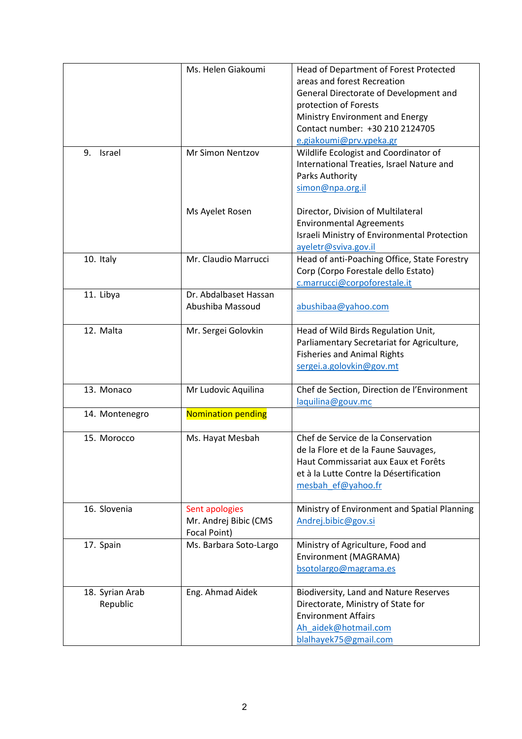|                             | Ms. Helen Giakoumi                                      | Head of Department of Forest Protected<br>areas and forest Recreation<br>General Directorate of Development and<br>protection of Forests<br>Ministry Environment and Energy<br>Contact number: +30 210 2124705<br>e.giakoumi@prv.ypeka.gr |
|-----------------------------|---------------------------------------------------------|-------------------------------------------------------------------------------------------------------------------------------------------------------------------------------------------------------------------------------------------|
| Israel<br>9.                | Mr Simon Nentzov                                        | Wildlife Ecologist and Coordinator of<br>International Treaties, Israel Nature and<br>Parks Authority<br>simon@npa.org.il                                                                                                                 |
|                             | Ms Ayelet Rosen                                         | Director, Division of Multilateral<br><b>Environmental Agreements</b><br>Israeli Ministry of Environmental Protection<br>ayeletr@sviva.gov.il                                                                                             |
| 10. Italy                   | Mr. Claudio Marrucci                                    | Head of anti-Poaching Office, State Forestry<br>Corp (Corpo Forestale dello Estato)<br>c.marrucci@corpoforestale.it                                                                                                                       |
| 11. Libya                   | Dr. Abdalbaset Hassan<br>Abushiba Massoud               | abushibaa@yahoo.com                                                                                                                                                                                                                       |
| 12. Malta                   | Mr. Sergei Golovkin                                     | Head of Wild Birds Regulation Unit,<br>Parliamentary Secretariat for Agriculture,<br><b>Fisheries and Animal Rights</b><br>sergei.a.golovkin@gov.mt                                                                                       |
| 13. Monaco                  | Mr Ludovic Aquilina                                     | Chef de Section, Direction de l'Environment<br>laquilina@gouv.mc                                                                                                                                                                          |
| 14. Montenegro              | <b>Nomination pending</b>                               |                                                                                                                                                                                                                                           |
| 15. Morocco                 | Ms. Hayat Mesbah                                        | Chef de Service de la Conservation<br>de la Flore et de la Faune Sauvages,<br>Haut Commissariat aux Eaux et Forêts<br>et à la Lutte Contre la Désertification<br>mesbah ef@yahoo.fr                                                       |
| 16. Slovenia                | Sent apologies<br>Mr. Andrej Bibic (CMS<br>Focal Point) | Ministry of Environment and Spatial Planning<br>Andrej.bibic@gov.si                                                                                                                                                                       |
| 17. Spain                   | Ms. Barbara Soto-Largo                                  | Ministry of Agriculture, Food and<br>Environment (MAGRAMA)<br>bsotolargo@magrama.es                                                                                                                                                       |
| 18. Syrian Arab<br>Republic | Eng. Ahmad Aidek                                        | Biodiversity, Land and Nature Reserves<br>Directorate, Ministry of State for<br><b>Environment Affairs</b><br>Ah aidek@hotmail.com<br>blalhayek75@gmail.com                                                                               |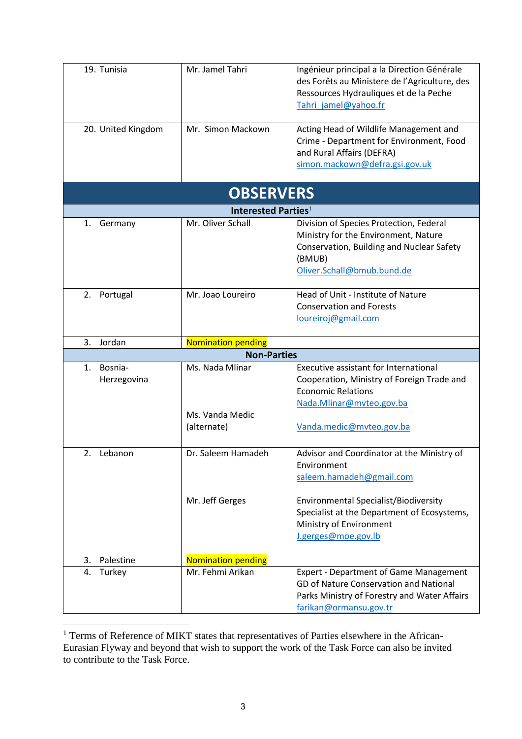| 19. Tunisia<br>20. United Kingdom        | Mr. Jamel Tahri<br>Mr. Simon Mackown              | Ingénieur principal a la Direction Générale<br>des Forêts au Ministere de l'Agriculture, des<br>Ressources Hydrauliques et de la Peche<br>Tahri jamel@yahoo.fr<br>Acting Head of Wildlife Management and |  |  |  |  |
|------------------------------------------|---------------------------------------------------|----------------------------------------------------------------------------------------------------------------------------------------------------------------------------------------------------------|--|--|--|--|
|                                          |                                                   | Crime - Department for Environment, Food<br>and Rural Affairs (DEFRA)<br>simon.mackown@defra.gsi.gov.uk                                                                                                  |  |  |  |  |
| <b>OBSERVERS</b>                         |                                                   |                                                                                                                                                                                                          |  |  |  |  |
|                                          | Interested Parties <sup>1</sup>                   |                                                                                                                                                                                                          |  |  |  |  |
| 1.<br>Germany                            | Mr. Oliver Schall                                 | Division of Species Protection, Federal<br>Ministry for the Environment, Nature<br>Conservation, Building and Nuclear Safety<br>(BMUB)<br>Oliver.Schall@bmub.bund.de                                     |  |  |  |  |
| 2.<br>Portugal                           | Mr. Joao Loureiro                                 | Head of Unit - Institute of Nature<br><b>Conservation and Forests</b><br>loureiroj@gmail.com                                                                                                             |  |  |  |  |
| 3.<br>Jordan                             | <b>Nomination pending</b>                         |                                                                                                                                                                                                          |  |  |  |  |
|                                          | <b>Non-Parties</b>                                |                                                                                                                                                                                                          |  |  |  |  |
| Bosnia-<br>$\mathbf{1}$ .<br>Herzegovina | Ms. Nada Mlinar<br>Ms. Vanda Medic<br>(alternate) | <b>Executive assistant for International</b><br>Cooperation, Ministry of Foreign Trade and<br><b>Economic Relations</b><br>Nada.Mlinar@mvteo.gov.ba<br>Vanda.medic@mvteo.gov.ba                          |  |  |  |  |
| 2.<br>Lebanon                            | Dr. Saleem Hamadeh                                | Advisor and Coordinator at the Ministry of<br>Environment<br>saleem.hamadeh@gmail.com                                                                                                                    |  |  |  |  |
|                                          | Mr. Jeff Gerges                                   | <b>Environmental Specialist/Biodiversity</b><br>Specialist at the Department of Ecosystems,<br>Ministry of Environment<br>J.gerges@moe.gov.lb                                                            |  |  |  |  |
| 3.<br>Palestine                          | <b>Nomination pending</b>                         |                                                                                                                                                                                                          |  |  |  |  |
| Turkey<br>4.                             | Mr. Fehmi Arikan                                  | <b>Expert - Department of Game Management</b><br>GD of Nature Conservation and National<br>Parks Ministry of Forestry and Water Affairs<br>farikan@ormansu.gov.tr                                        |  |  |  |  |

<sup>&</sup>lt;sup>1</sup> Terms of Reference of MIKT states that representatives of Parties elsewhere in the African-Eurasian Flyway and beyond that wish to support the work of the Task Force can also be invited to contribute to the Task Force.

 $\overline{\phantom{a}}$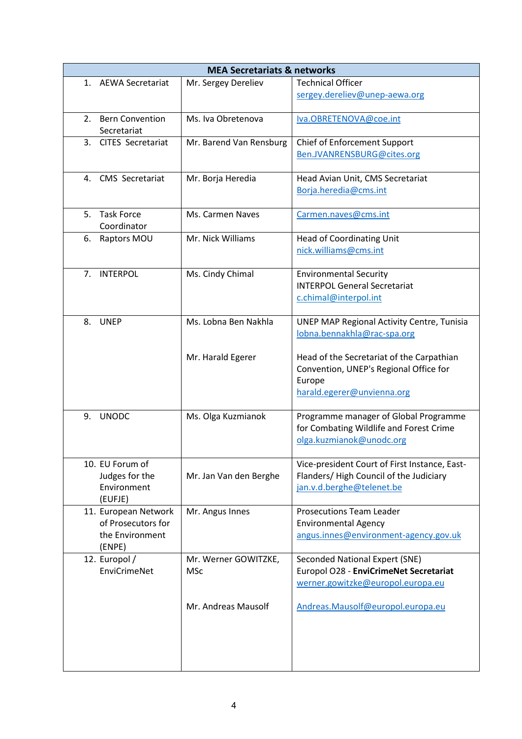| <b>MEA Secretariats &amp; networks</b>                                  |                                           |                                                                                                                                                                                                                 |  |  |  |
|-------------------------------------------------------------------------|-------------------------------------------|-----------------------------------------------------------------------------------------------------------------------------------------------------------------------------------------------------------------|--|--|--|
| AEWA Secretariat<br>1.                                                  | Mr. Sergey Dereliev                       | <b>Technical Officer</b><br>sergey.dereliev@unep-aewa.org                                                                                                                                                       |  |  |  |
| <b>Bern Convention</b><br>2.<br>Secretariat                             | Ms. Iva Obretenova                        | Iva.OBRETENOVA@coe.int                                                                                                                                                                                          |  |  |  |
| <b>CITES Secretariat</b><br>3.                                          | Mr. Barend Van Rensburg                   | <b>Chief of Enforcement Support</b><br>Ben.JVANRENSBURG@cites.org                                                                                                                                               |  |  |  |
| CMS Secretariat<br>4.                                                   | Mr. Borja Heredia                         | Head Avian Unit, CMS Secretariat<br>Borja.heredia@cms.int                                                                                                                                                       |  |  |  |
| <b>Task Force</b><br>5.<br>Coordinator                                  | Ms. Carmen Naves                          | Carmen.naves@cms.int                                                                                                                                                                                            |  |  |  |
| Raptors MOU<br>6.                                                       | Mr. Nick Williams                         | <b>Head of Coordinating Unit</b><br>nick.williams@cms.int                                                                                                                                                       |  |  |  |
| <b>INTERPOL</b><br>7.                                                   | Ms. Cindy Chimal                          | <b>Environmental Security</b><br><b>INTERPOL General Secretariat</b><br>c.chimal@interpol.int                                                                                                                   |  |  |  |
| 8.<br><b>UNEP</b>                                                       | Ms. Lobna Ben Nakhla<br>Mr. Harald Egerer | <b>UNEP MAP Regional Activity Centre, Tunisia</b><br>lobna.bennakhla@rac-spa.org<br>Head of the Secretariat of the Carpathian<br>Convention, UNEP's Regional Office for<br>Europe<br>harald.egerer@unvienna.org |  |  |  |
| <b>UNODC</b><br>9.                                                      | Ms. Olga Kuzmianok                        | Programme manager of Global Programme<br>for Combating Wildlife and Forest Crime<br>olga.kuzmianok@unodc.org                                                                                                    |  |  |  |
| 10. EU Forum of<br>Judges for the<br>Environment<br>(EUFJE)             | Mr. Jan Van den Berghe                    | Vice-president Court of First Instance, East-<br>Flanders/ High Council of the Judiciary<br>jan.v.d.berghe@telenet.be                                                                                           |  |  |  |
| 11. European Network<br>of Prosecutors for<br>the Environment<br>(ENPE) | Mr. Angus Innes                           | <b>Prosecutions Team Leader</b><br><b>Environmental Agency</b><br>angus.innes@environment-agency.gov.uk                                                                                                         |  |  |  |
| 12. Europol /<br>EnviCrimeNet                                           | Mr. Werner GOWITZKE,<br><b>MSc</b>        | Seconded National Expert (SNE)<br>Europol O28 - EnviCrimeNet Secretariat<br>werner.gowitzke@europol.europa.eu                                                                                                   |  |  |  |
|                                                                         | Mr. Andreas Mausolf                       | Andreas.Mausolf@europol.europa.eu                                                                                                                                                                               |  |  |  |